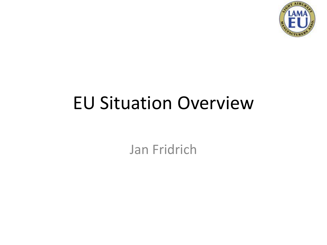

# EU Situation Overview

Jan Fridrich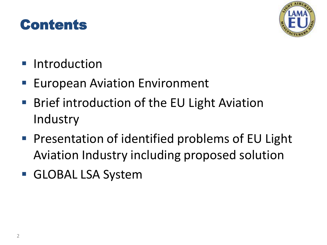### Contents



- **Introduction**
- **European Aviation Environment**
- Brief introduction of the EU Light Aviation **Industry**
- **Presentation of identified problems of EU Light** Aviation Industry including proposed solution
- **GLOBAL LSA System**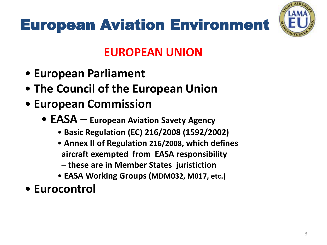# European Aviation Environment



### **EUROPEAN UNION**

- **European Parliament**
- **The Council of the European Union**
- **European Commission**
	- **EASA – European Aviation Savety Agency**
		- **Basic Regulation (EC) 216/2008 (1592/2002)**
		- **Annex II of Regulation 216/2008, which defines aircraft exempted from EASA responsibility**
			- **– these are in Member States juristiction**
		- **EASA Working Groups (MDM032, M017, etc.)**
- **Eurocontrol**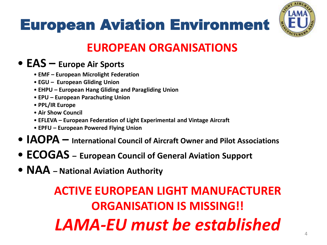



### **EUROPEAN ORGANISATIONS**

#### • **EAS – Europe Air Sports**

- **EMF – European Microlight Federation**
- **EGU – European Gliding Union**
- **EHPU – European Hang Gliding and Paragliding Union**
- **EPU – European Parachuting Union**
- **PPL/IR Europe**
- **Air Show Council**
- **EFLEVA – European Federation of Light Experimental and Vintage Aircraft**
- **EPFU – European Powered Flying Union**
- **IAOPA – International Council of Aircraft Owner and Pilot Associations**
- **ECOGAS – European Council of General Aviation Support**
- **NAA – National Aviation Authority**

### **ACTIVE EUROPEAN LIGHT MANUFACTURER ORGANISATION IS MISSING!!** *LAMA-EU must be established*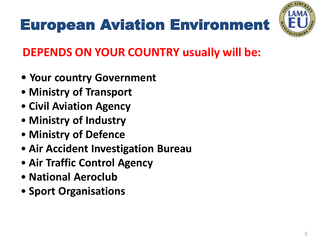# European Aviation Environment



### **DEPENDS ON YOUR COUNTRY usually will be:**

- **Your country Government**
- **Ministry of Transport**
- **Civil Aviation Agency**
- **Ministry of Industry**
- **Ministry of Defence**
- **Air Accident Investigation Bureau**
- **Air Traffic Control Agency**
- **National Aeroclub**
- **Sport Organisations**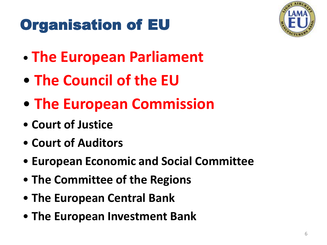# Organisation of EU



- **The European Parliament**
- **The Council of the EU**
- **The European Commission**
- **Court of Justice**
- **Court of Auditors**
- **European Economic and Social Committee**
- **The Committee of the Regions**
- **The European Central Bank**
- **The European Investment Bank**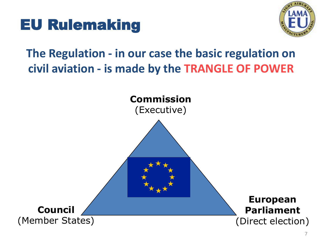



### **The Regulation - in our case the basic regulation on civil aviation - is made by the TRANGLE OF POWER**

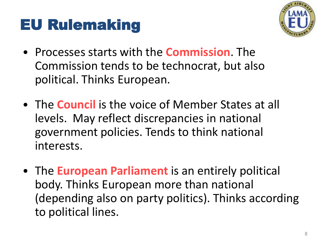### EU Rulemaking



- Processes starts with the **Commission**. The Commission tends to be technocrat, but also political. Thinks European.
- The **Council** is the voice of Member States at all levels. May reflect discrepancies in national government policies. Tends to think national interests.
- The **European Parliament** is an entirely political body. Thinks European more than national (depending also on party politics). Thinks according to political lines.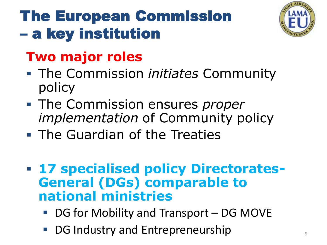# The European Commission – a key institution



### **Two major roles**

- The Commission *initiates* Community policy
- The Commission ensures *proper implementation* of Community policy
- **The Guardian of the Treaties**
- **17 specialised policy Directorates-General (DGs) comparable to national ministries**
	- DG for Mobility and Transport DG MOVE
	- DG Industry and Entrepreneurship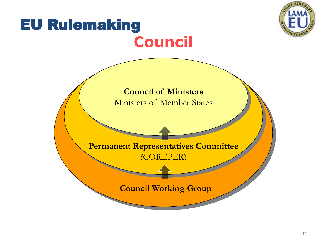

# EU Rulemaking **Council**

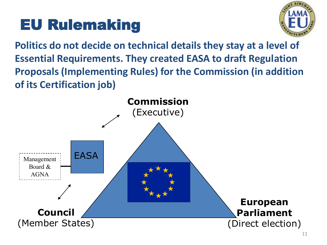# EU Rulemaking



**Politics do not decide on technical details they stay at a level of Essential Requirements. They created EASA to draft Regulation Proposals (Implementing Rules) for the Commission (in addition of its Certification job)**

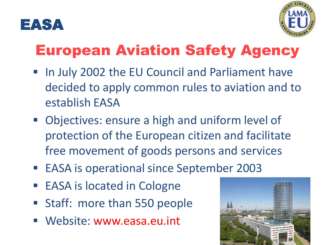



## European Aviation Safety Agency

- In July 2002 the EU Council and Parliament have decided to apply common rules to aviation and to establish EASA
- Objectives: ensure a high and uniform level of protection of the European citizen and facilitate free movement of goods persons and services
- EASA is operational since September 2003
- EASA is located in Cologne
- **Staff: more than 550 people**
- Website: www.easa.eu.int

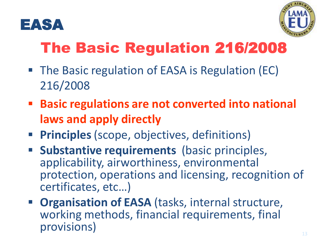



# The Basic Regulation 216/2008

- The Basic regulation of EASA is Regulation (EC) 216/2008
- **Basic regulations are not converted into national laws and apply directly**
- **Principles**(scope, objectives, definitions)
- **Substantive requirements** (basic principles, applicability, airworthiness, environmental protection, operations and licensing, recognition of certificates, etc…)
- **Organisation of EASA** (tasks, internal structure, working methods, financial requirements, final provisions)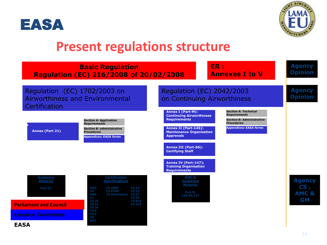



### **Present regulations structure**

|                                                                                                              | <b>Basic Regulation</b><br><b>Regulation (EC) 216/2008 of 20/02/2008</b>                                                                                                                                                                                                                                                                                |                                                                                                                                                                                                                      | ER :<br><b>Annexes I to V</b>                                                                                                                | <b>Agency</b><br><b>Opinion</b>                       |
|--------------------------------------------------------------------------------------------------------------|---------------------------------------------------------------------------------------------------------------------------------------------------------------------------------------------------------------------------------------------------------------------------------------------------------------------------------------------------------|----------------------------------------------------------------------------------------------------------------------------------------------------------------------------------------------------------------------|----------------------------------------------------------------------------------------------------------------------------------------------|-------------------------------------------------------|
| Regulation (EC) 1702/2003 on<br>Certification                                                                | <b>Airworthiness and Environmental</b>                                                                                                                                                                                                                                                                                                                  | Regulation (EC) 2042/2003<br>on Continuing Airworthiness                                                                                                                                                             |                                                                                                                                              | <b>Agency</b><br><b>Opinion</b>                       |
| <b>Annex (Part 21)</b>                                                                                       | <b>Section A: Application</b><br><b>Requirements</b><br><b>Section B: administrative</b><br><b>Procedures</b><br><b>Appendices: EASA forms</b>                                                                                                                                                                                                          | <b>Annex I (Part-M):</b><br><b>Continuing Airworthiness</b><br><b>Requirements</b><br>Annex II (Part-145):<br><b>Maintenance Organisation</b><br><b>Approvals</b><br>Annex III (Part-66):<br><b>Certifying Staff</b> | <b>Section A: Technical</b><br><b>Requirements</b><br><b>Section B: Administrative</b><br><b>Procedures</b><br><b>Appendices: EASA forms</b> |                                                       |
| <b>Guidance</b><br><b>Material</b><br>Part 21<br><b>Parliament and Council</b><br><b>European Commission</b> | <b>Certification</b><br><b>Specifications</b><br><b>AMC</b><br><b>CS AWO</b><br><b>CS 22</b><br><b>CS ETSO</b><br><b>CS 23</b><br>20<br><b>AMC</b><br><b>CS Definitions CS 27</b><br>21<br><b>CS 29</b><br><b>CS 25</b><br><b>CS VLA</b><br><b>CS 34</b><br><b>CS VLR</b><br><b>CS 36</b><br>CS E<br><b>CSP</b><br>$\mathbf{c}\mathbf{s}$<br><b>APU</b> | Annex IV (Part-147):<br><b>Training Organisation</b><br><b>Requirements</b><br><b>AMC &amp;</b><br><b>Guidance</b><br><b>Material</b><br>Part M,<br>145,66,147                                                       |                                                                                                                                              | <b>Agency</b><br>CS,<br><b>AMC &amp;</b><br><b>GM</b> |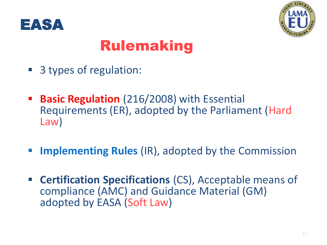



### Rulemaking

- 3 types of regulation:
- **Basic Regulation** (216/2008) with Essential Requirements (ER), adopted by the Parliament (Hard Law)
- **Implementing Rules** (IR), adopted by the Commission
- **Certification Specifications** (CS), Acceptable means of compliance (AMC) and Guidance Material (GM) adopted by EASA (Soft Law)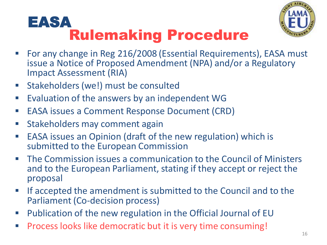### Rulemaking Procedure EASA



- For any change in Reg 216/2008 (Essential Requirements), EASA must issue a Notice of Proposed Amendment (NPA) and/or a Regulatory Impact Assessment (RIA)
- **Stakeholders (we!) must be consulted**
- **Evaluation of the answers by an independent WG**
- EASA issues a Comment Response Document (CRD)
- **Stakeholders may comment again**
- EASA issues an Opinion (draft of the new regulation) which is submitted to the European Commission
- The Commission issues a communication to the Council of Ministers and to the European Parliament, stating if they accept or reject the proposal
- **If accepted the amendment is submitted to the Council and to the** Parliament (Co-decision process)
- Publication of the new regulation in the Official Journal of EU
- Process looks like democratic but it is very time consuming!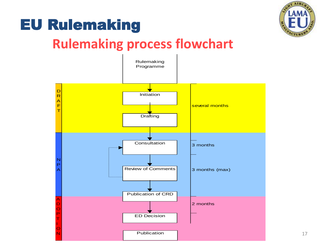

### EU Rulemaking

### **Rulemaking process flowchart**

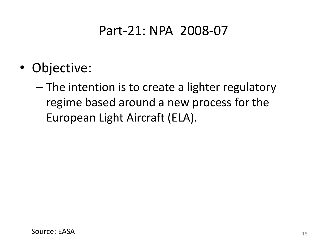### Part-21: NPA 2008-07

- Objective:
	- The intention is to create a lighter regulatory regime based around a new process for the European Light Aircraft (ELA).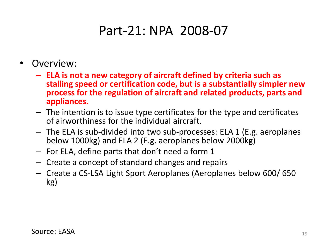### Part-21: NPA 2008-07

- Overview:
	- **ELA is not a new category of aircraft defined by criteria such as stalling speed or certification code, but is a substantially simpler new process for the regulation of aircraft and related products, parts and appliances.**
	- The intention is to issue type certificates for the type and certificates of airworthiness for the individual aircraft.
	- The ELA is sub-divided into two sub-processes: ELA 1 (E.g. aeroplanes below 1000kg) and ELA 2 (E.g. aeroplanes below 2000kg)
	- For ELA, define parts that don't need a form 1
	- Create a concept of standard changes and repairs
	- Create a CS-LSA Light Sport Aeroplanes (Aeroplanes below 600/ 650 kg)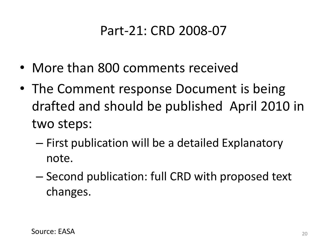### Part-21: CRD 2008-07

- More than 800 comments received
- The Comment response Document is being drafted and should be published April 2010 in two steps:
	- First publication will be a detailed Explanatory note.
	- Second publication: full CRD with proposed text changes.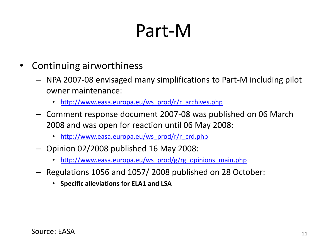# Part-M

- Continuing airworthiness
	- NPA 2007-08 envisaged many simplifications to Part-M including pilot owner maintenance:
		- [http://www.easa.europa.eu/ws\\_prod/r/r\\_archives.php](http://www.easa.europa.eu/ws_prod/r/r_archives.php)
	- Comment response document 2007-08 was published on 06 March 2008 and was open for reaction until 06 May 2008:
		- [http://www.easa.europa.eu/ws\\_prod/r/r\\_crd.php](http://www.easa.europa.eu/ws_prod/r/r_crd.php)
	- Opinion 02/2008 published 16 May 2008:
		- [http://www.easa.europa.eu/ws\\_prod/g/rg\\_opinions\\_main.php](http://www.easa.europa.eu/ws_prod/g/rg_opinions_main.php)
	- Regulations 1056 and 1057/ 2008 published on 28 October:
		- **Specific alleviations for ELA1 and LSA**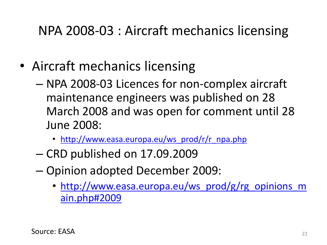### NPA 2008-03 : Aircraft mechanics licensing

- Aircraft mechanics licensing
	- NPA 2008-03 Licences for non-complex aircraft maintenance engineers was published on 28 March 2008 and was open for comment until 28 June 2008:
		- [http://www.easa.europa.eu/ws\\_prod/r/r\\_npa.php](http://www.easa.europa.eu/ws_prod/r/r_npa.php)
	- CRD published on 17.09.2009
	- Opinion adopted December 2009:
		- [http://www.easa.europa.eu/ws\\_prod/g/rg\\_opinions\\_m](http://www.easa.europa.eu/ws_prod/g/rg_opinions_main.php) [ain.php#2009](http://www.easa.europa.eu/ws_prod/g/rg_opinions_main.php)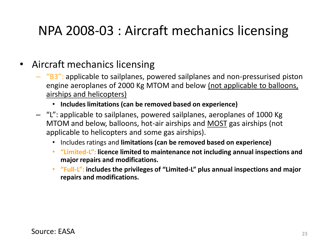### NPA 2008-03 : Aircraft mechanics licensing

#### • Aircraft mechanics licensing

- $-$  "B3": applicable to sailplanes, powered sailplanes and non-pressurised piston engine aeroplanes of 2000 Kg MTOM and below (not applicable to balloons, airships and helicopters)
	- **Includes limitations (can be removed based on experience)**
- "L": applicable to sailplanes, powered sailplanes, aeroplanes of 1000 Kg MTOM and below, balloons, hot-air airships and MOST gas airships (not applicable to helicopters and some gas airships).
	- Includes ratings and **limitations (can be removed based on experience)**
	- **"Limited-L": licence limited to maintenance not including annual inspections and major repairs and modifications.**
	- **"Full-L": includes the privileges of "Limited-L" plus annual inspections and major repairs and modifications.**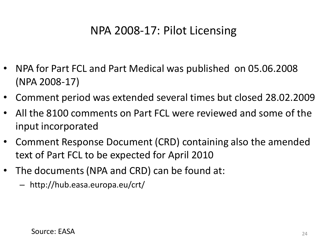### NPA 2008-17: Pilot Licensing

- NPA for Part FCL and Part Medical was published on 05.06.2008 (NPA 2008-17)
- Comment period was extended several times but closed 28.02.2009
- All the 8100 comments on Part FCL were reviewed and some of the input incorporated
- Comment Response Document (CRD) containing also the amended text of Part FCL to be expected for April 2010
- The documents (NPA and CRD) can be found at:
	- http://hub.easa.europa.eu/crt/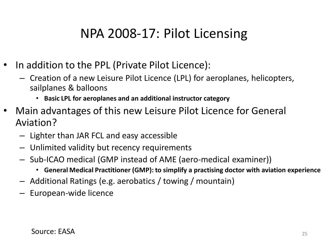### NPA 2008-17: Pilot Licensing

- In addition to the PPL (Private Pilot Licence):
	- Creation of a new Leisure Pilot Licence (LPL) for aeroplanes, helicopters, sailplanes & balloons
		- **Basic LPL for aeroplanes and an additional instructor category**
- Main advantages of this new Leisure Pilot Licence for General Aviation?
	- Lighter than JAR FCL and easy accessible
	- Unlimited validity but recency requirements
	- Sub-ICAO medical (GMP instead of AME (aero-medical examiner))
		- **General Medical Practitioner (GMP): to simplify a practising doctor with aviation experience**
	- Additional Ratings (e.g. aerobatics / towing / mountain)
	- European-wide licence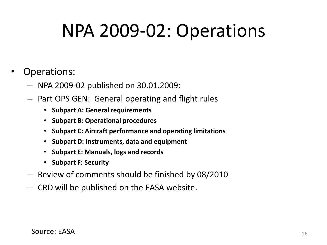# NPA 2009-02: Operations

#### Operations:

- NPA 2009-02 published on 30.01.2009:
- Part OPS GEN: General operating and flight rules
	- **Subpart A: General requirements**
	- **Subpart B: Operational procedures**
	- **Subpart C: Aircraft performance and operating limitations**
	- **Subpart D: Instruments, data and equipment**
	- **Subpart E: Manuals, logs and records**
	- **Subpart F: Security**
- Review of comments should be finished by 08/2010
- CRD will be published on the EASA website.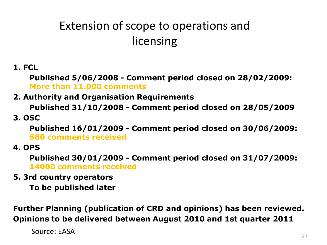### Extension of scope to operations and licensing

**1. FCL**

**Published 5/06/2008 - Comment period closed on 28/02/2009: More than 11.000 comments**

#### **2. Authority and Organisation Requirements**

**Published 31/10/2008 - Comment period closed on 28/05/2009 3. OSC**

**Published 16/01/2009 - Comment period closed on 30/06/2009: 880 comments received**

**4. OPS**

**Published 30/01/2009 - Comment period closed on 31/07/2009: 14000 comments received**

**5. 3rd country operators** 

**To be published later**

**Further Planning (publication of CRD and opinions) has been reviewed. Opinions to be delivered between August 2010 and 1st quarter 2011**

Source: EASA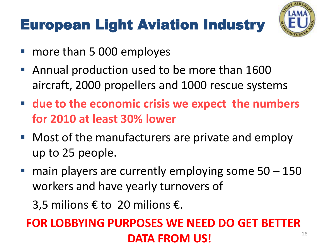## European Light Aviation Industry



- more than 5 000 employes
- Annual production used to be more than 1600 aircraft, 2000 propellers and 1000 rescue systems
- **due to the economic crisis we expect the numbers for 2010 at least 30% lower**
- Most of the manufacturers are private and employ up to 25 people.
- $\blacksquare$  main players are currently employing some  $50 150$ workers and have yearly turnovers of

3,5 milions € to 20 milions €.

#### 28 **FOR LOBBYING PURPOSES WE NEED DO GET BETTER DATA FROM US!**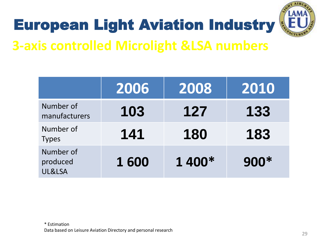

# European Light Aviation Industry

### **3-axis controlled Microlight &LSA numbers**

|                                 | 2006 | 2008   | 2010 |
|---------------------------------|------|--------|------|
| Number of<br>manufacturers      | 103  | 127    | 133  |
| Number of<br><b>Types</b>       | 141  | 180    | 183  |
| Number of<br>produced<br>UL&LSA | 1600 | 1 400* | 900* |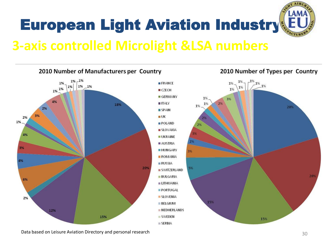

### **3-axis controlled Microlight &LSA numbers**



Data based on Leisure Aviation Directory and personal research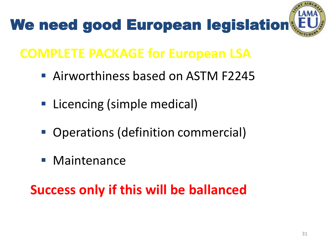

### **COMPLETE PACKAGE for European LSA**

- Airworthiness based on ASTM F2245
- Licencing (simple medical)
- Operations (definition commercial)
- **Maintenance**

### **Success only if this will be ballanced**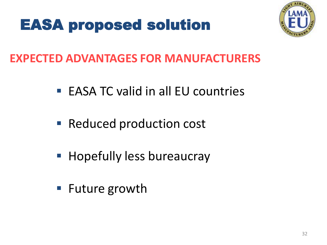## EASA proposed solution



### **EXPECTED ADVANTAGES FOR MANUFACTURERS**

- $\blacksquare$  EASA TC valid in all EU countries
- Reduced production cost
- **Hopefully less bureaucray**
- Future growth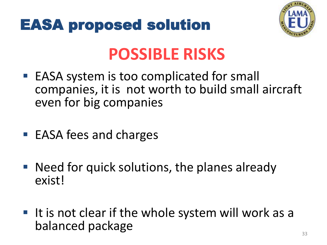



# **POSSIBLE RISKS**

- EASA system is too complicated for small companies, it is not worth to build small aircraft even for big companies
- EASA fees and charges
- Need for quick solutions, the planes already exist!
- It is not clear if the whole system will work as a balanced package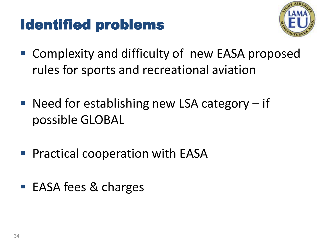### Identified problems



- Complexity and difficulty of new EASA proposed rules for sports and recreational aviation
- Need for establishing new LSA category  $-$  if possible GLOBAL
- **Practical cooperation with EASA**
- EASA fees & charges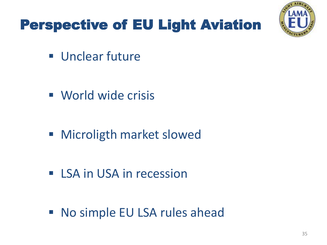# Perspective of EU Light Aviation



**Unclear future** 

- **World wide crisis**
- Microligth market slowed
- **EXA in USA in recession**

■ No simple EU LSA rules ahead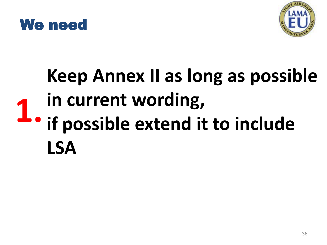



# **Keep Annex II as long as possible in current wording, if possible extend it to include LSA 1.**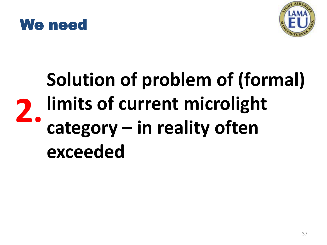



# **Solution of problem of (formal) limits of current microlight category – in reality often exceeded 2.**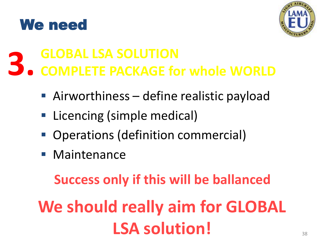



#### **GLOBAL LSA SOLUTION COMPLETE PACKAGE for whole WORLD 3.**

- Airworthiness define realistic payload
- Licencing (simple medical)
- Operations (definition commercial)
- **Maintenance**

**Success only if this will be ballanced**

**We should really aim for GLOBAL LSA solution!**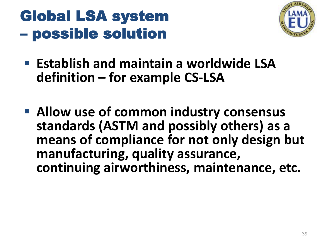### Global LSA system – possible solution



- **Establish and maintain a worldwide LSA definition – for example CS-LSA**
- **Allow use of common industry consensus standards (ASTM and possibly others) as a means of compliance for not only design but manufacturing, quality assurance, continuing airworthiness, maintenance, etc.**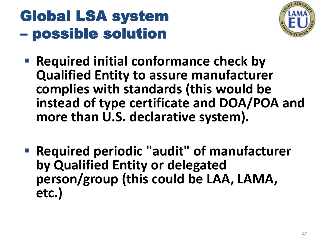# Global LSA system – possible solution



- **Required initial conformance check by Qualified Entity to assure manufacturer complies with standards (this would be instead of type certificate and DOA/POA and more than U.S. declarative system).**
- **Required periodic "audit" of manufacturer by Qualified Entity or delegated person/group (this could be LAA, LAMA, etc.)**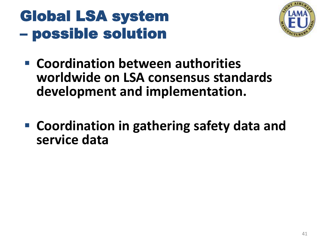## Global LSA system – possible solution



- **E** Coordination between authorities **worldwide on LSA consensus standards development and implementation.**
- **Coordination in gathering safety data and service data**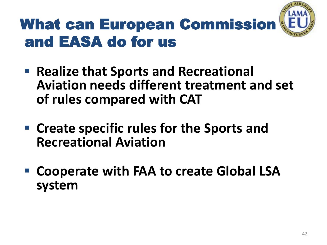

# What can European Commission and EASA do for us

- **Realize that Sports and Recreational Aviation needs different treatment and set of rules compared with CAT**
- **Create specific rules for the Sports and Recreational Aviation**
- **Cooperate with FAA to create Global LSA system**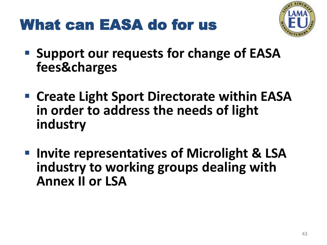### What can EASA do for us



- **Support our requests for change of EASA fees&charges**
- **Create Light Sport Directorate within EASA in order to address the needs of light industry**
- **Invite representatives of Microlight & LSA industry to working groups dealing with Annex II or LSA**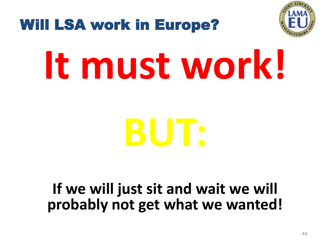

### Will LSA work in Europe?

# **It must work!**

# **BUT:**

### **If we will just sit and wait we will probably not get what we wanted!**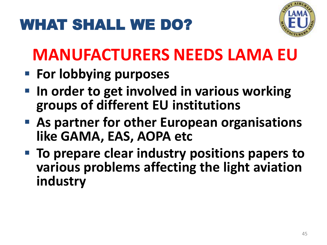# WHAT SHALL WE DO?



# **MANUFACTURERS NEEDS LAMA EU**

- **For lobbying purposes**
- **In order to get involved in various working groups of different EU institutions**
- **As partner for other European organisations like GAMA, EAS, AOPA etc**
- **To prepare clear industry positions papers to various problems affecting the light aviation industry**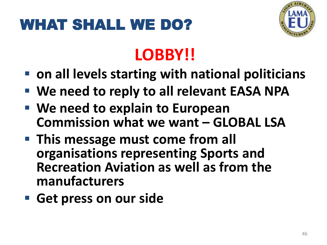# WHAT SHALL WE DO?



# **LOBBY!!**

- on all levels starting with national politicians
- **We need to reply to all relevant EASA NPA**
- **We need to explain to European Commission what we want – GLOBAL LSA**
- **This message must come from all organisations representing Sports and Recreation Aviation as well as from the manufacturers**
- **Get press on our side**